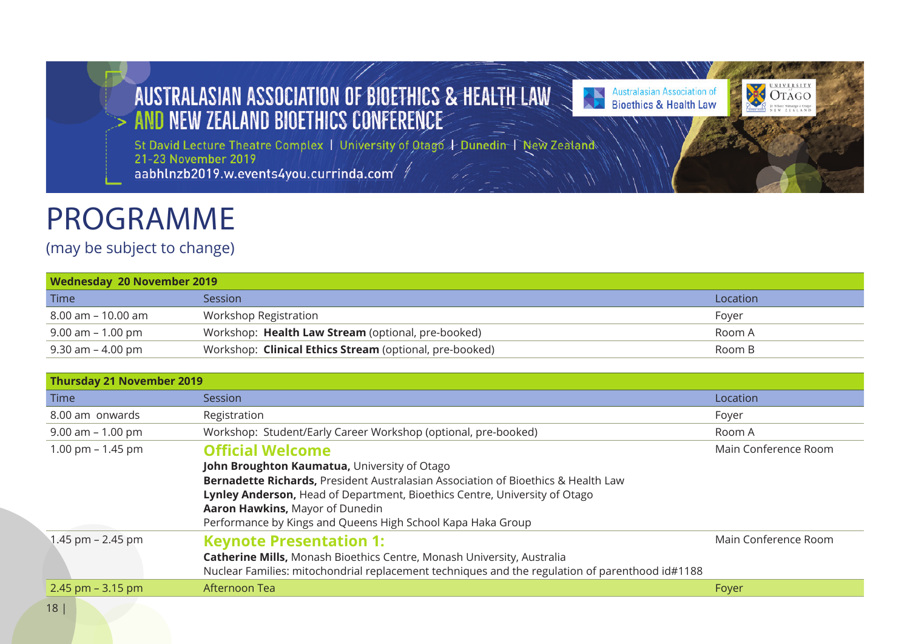# AUSTRALASIAN ASSOCIATION OF BIOETHICS & HEALTH LAW

**Australasian Association of<br>Bioethics & Health Law** ÷

**DECOTAGO** 

St David Lecture Theatre Complex | University of Otago + Dunedin | New Zealand aabhlnzb2019.w.events4you.currinda.com

# PROGRAMME

## (may be subject to change)

| Wednesday 20 November 2019 |                                                         |          |  |  |  |  |
|----------------------------|---------------------------------------------------------|----------|--|--|--|--|
| Time                       | Session                                                 | Location |  |  |  |  |
| 8.00 am – 10.00 am         | Workshop Registration                                   | Fover    |  |  |  |  |
| 9.00 am – 1.00 pm          | Workshop: Health Law Stream (optional, pre-booked)      | Room A   |  |  |  |  |
| 9.30 am – 4.00 pm          | Workshop: Clinical Ethics Stream (optional, pre-booked) | Room B   |  |  |  |  |

| <b>Thursday 21 November 2019</b> |                                                                                                                                                                                                                                                                                                                                              |                      |
|----------------------------------|----------------------------------------------------------------------------------------------------------------------------------------------------------------------------------------------------------------------------------------------------------------------------------------------------------------------------------------------|----------------------|
| <b>Time</b>                      | <b>Session</b>                                                                                                                                                                                                                                                                                                                               | Location             |
| 8.00 am onwards                  | Registration                                                                                                                                                                                                                                                                                                                                 | Foyer                |
| 9.00 am - 1.00 pm                | Workshop: Student/Early Career Workshop (optional, pre-booked)                                                                                                                                                                                                                                                                               | Room A               |
| 1.00 pm $-$ 1.45 pm              | <b>Official Welcome</b><br>John Broughton Kaumatua, University of Otago<br>Bernadette Richards, President Australasian Association of Bioethics & Health Law<br>Lynley Anderson, Head of Department, Bioethics Centre, University of Otago<br>Aaron Hawkins, Mayor of Dunedin<br>Performance by Kings and Queens High School Kapa Haka Group | Main Conference Room |
| 1.45 pm $- 2.45$ pm              | <b>Keynote Presentation 1:</b><br>Catherine Mills, Monash Bioethics Centre, Monash University, Australia<br>Nuclear Families: mitochondrial replacement techniques and the regulation of parenthood id#1188                                                                                                                                  | Main Conference Room |
| 2.45 pm $-$ 3.15 pm              | Afternoon Tea                                                                                                                                                                                                                                                                                                                                | Foyer                |
| 101                              |                                                                                                                                                                                                                                                                                                                                              |                      |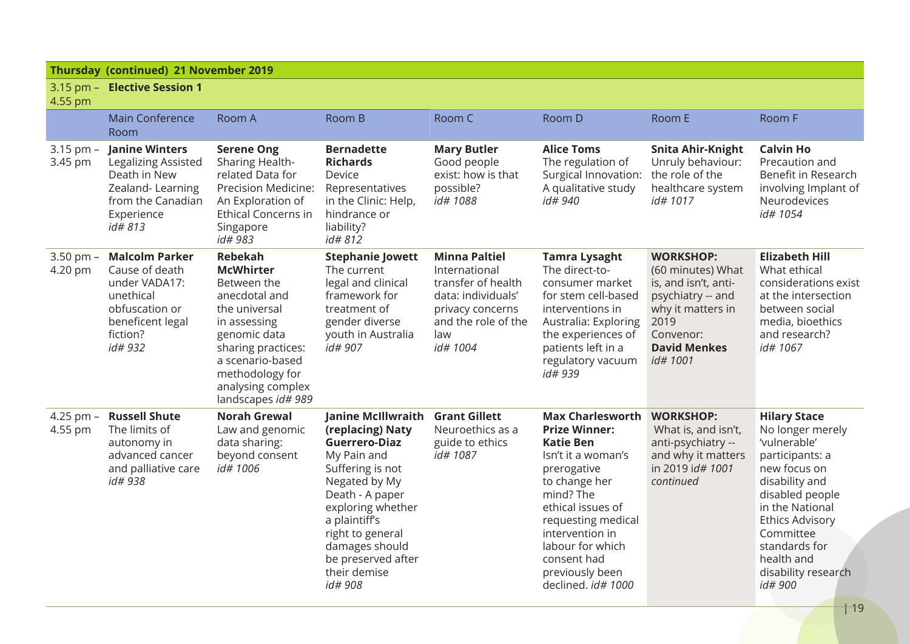|  |  | Thursday (continued) 21 November 2019 |  |
|--|--|---------------------------------------|--|
|--|--|---------------------------------------|--|

|  | 3.15 pm - Elective Session 1 |
|--|------------------------------|
|  |                              |

### $4.55 \text{ nm}$

| וווען ככ.ד               |                                                                                                                                    |                                                                                                                                                                                                                             |                                                                                                                                                                                                                                                                    |                                                                                                                                                |                                                                                                                                                                                                                                                                                  |                                                                                                                                                                 |                                                                                                                                                                                                                                                            |
|--------------------------|------------------------------------------------------------------------------------------------------------------------------------|-----------------------------------------------------------------------------------------------------------------------------------------------------------------------------------------------------------------------------|--------------------------------------------------------------------------------------------------------------------------------------------------------------------------------------------------------------------------------------------------------------------|------------------------------------------------------------------------------------------------------------------------------------------------|----------------------------------------------------------------------------------------------------------------------------------------------------------------------------------------------------------------------------------------------------------------------------------|-----------------------------------------------------------------------------------------------------------------------------------------------------------------|------------------------------------------------------------------------------------------------------------------------------------------------------------------------------------------------------------------------------------------------------------|
|                          | <b>Main Conference</b><br>Room                                                                                                     | Room A                                                                                                                                                                                                                      | Room B                                                                                                                                                                                                                                                             | Room C                                                                                                                                         | Room D                                                                                                                                                                                                                                                                           | Room E                                                                                                                                                          | Room F                                                                                                                                                                                                                                                     |
| $3.15$ pm $-$<br>3.45 pm | <b>Janine Winters</b><br>Legalizing Assisted<br>Death in New<br>Zealand-Learning<br>from the Canadian<br>Experience<br>id# 813     | <b>Serene Ong</b><br>Sharing Health-<br>related Data for<br>Precision Medicine:<br>An Exploration of<br>Ethical Concerns in<br>Singapore<br>id# 983                                                                         | <b>Bernadette</b><br><b>Richards</b><br>Device<br>Representatives<br>in the Clinic: Help,<br>hindrance or<br>liability?<br>id#812                                                                                                                                  | <b>Mary Butler</b><br>Good people<br>exist: how is that<br>possible?<br>id# 1088                                                               | <b>Alice Toms</b><br>The regulation of<br>Surgical Innovation: the role of the<br>A qualitative study<br><i>id#</i> 940                                                                                                                                                          | Snita Ahir-Knight<br>Unruly behaviour:<br>healthcare system<br>id# 1017                                                                                         | <b>Calvin Ho</b><br>Precaution and<br>Benefit in Research<br>involving Implant of<br>Neurodevices<br>id# 1054                                                                                                                                              |
| $3.50$ pm $-$<br>4.20 pm | <b>Malcolm Parker</b><br>Cause of death<br>under VADA17:<br>unethical<br>obfuscation or<br>beneficent legal<br>fiction?<br>id# 932 | <b>Rebekah</b><br><b>McWhirter</b><br>Between the<br>anecdotal and<br>the universal<br>in assessing<br>genomic data<br>sharing practices:<br>a scenario-based<br>methodology for<br>analysing complex<br>landscapes id# 989 | <b>Stephanie Jowett</b><br>The current<br>legal and clinical<br>framework for<br>treatment of<br>gender diverse<br>youth in Australia<br>id# 907                                                                                                                   | <b>Minna Paltiel</b><br>International<br>transfer of health<br>data: individuals'<br>privacy concerns<br>and the role of the<br>law<br>id#1004 | <b>Tamra Lysaght</b><br>The direct-to-<br>consumer market<br>for stem cell-based<br>interventions in<br>Australia: Exploring<br>the experiences of<br>patients left in a<br>regulatory vacuum<br>id# 939                                                                         | <b>WORKSHOP:</b><br>(60 minutes) What<br>is, and isn't, anti-<br>psychiatry -- and<br>why it matters in<br>2019<br>Convenor:<br><b>David Menkes</b><br>id# 1001 | <b>Elizabeth Hill</b><br>What ethical<br>considerations exist<br>at the intersection<br>between social<br>media, bioethics<br>and research?<br>id# 1067                                                                                                    |
| 4.25 pm $-$<br>4.55 pm   | <b>Russell Shute</b><br>The limits of<br>autonomy in<br>advanced cancer<br>and palliative care<br><i>id#</i> 938                   | <b>Norah Grewal</b><br>Law and genomic<br>data sharing:<br>beyond consent<br>id# 1006                                                                                                                                       | Janine McIllwraith<br>(replacing) Naty<br><b>Guerrero-Diaz</b><br>My Pain and<br>Suffering is not<br>Negated by My<br>Death - A paper<br>exploring whether<br>a plaintiff's<br>right to general<br>damages should<br>be preserved after<br>their demise<br>id# 908 | <b>Grant Gillett</b><br>Neuroethics as a<br>guide to ethics<br>id# 1087                                                                        | <b>Max Charlesworth</b><br><b>Prize Winner:</b><br><b>Katie Ben</b><br>Isn't it a woman's<br>prerogative<br>to change her<br>mind? The<br>ethical issues of<br>requesting medical<br>intervention in<br>labour for which<br>consent had<br>previously been<br>declined. id# 1000 | <b>WORKSHOP:</b><br>What is, and isn't,<br>anti-psychiatry --<br>and why it matters<br>in 2019 id# 1001<br>continued                                            | <b>Hilary Stace</b><br>No longer merely<br>'vulnerable'<br>participants: a<br>new focus on<br>disability and<br>disabled people<br>in the National<br><b>Ethics Advisory</b><br>Committee<br>standards for<br>health and<br>disability research<br>id# 900 |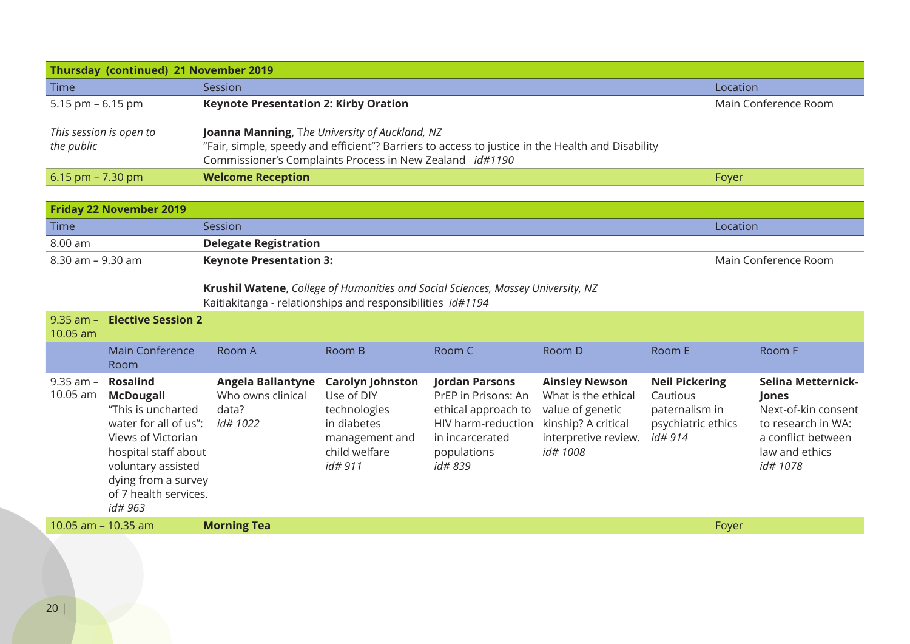| Thursday (continued) 21 November 2019 |                                                                                                                                                                                                                       |                      |  |  |  |  |  |
|---------------------------------------|-----------------------------------------------------------------------------------------------------------------------------------------------------------------------------------------------------------------------|----------------------|--|--|--|--|--|
| <b>Time</b>                           | <b>Session</b>                                                                                                                                                                                                        | Location             |  |  |  |  |  |
| 5.15 pm $-6.15$ pm                    | <b>Keynote Presentation 2: Kirby Oration</b>                                                                                                                                                                          | Main Conference Room |  |  |  |  |  |
| This session is open to<br>the public | <b>Joanna Manning, The University of Auckland, NZ</b><br>"Fair, simple, speedy and efficient"? Barriers to access to justice in the Health and Disability<br>Commissioner's Complaints Process in New Zealand id#1190 |                      |  |  |  |  |  |
| $6.15$ pm $- 7.30$ pm                 | <b>Welcome Reception</b>                                                                                                                                                                                              | Foyer                |  |  |  |  |  |

| <b>Friday 22 November 2019</b> |                                |                      |  |  |  |  |  |
|--------------------------------|--------------------------------|----------------------|--|--|--|--|--|
| Time                           | Session                        | Location             |  |  |  |  |  |
| 8.00 am                        | <b>Delegate Registration</b>   |                      |  |  |  |  |  |
| 8.30 am – 9.30 am              | <b>Keynote Presentation 3:</b> | Main Conference Room |  |  |  |  |  |

**Krushil Watene**, *College of Humanities and Social Sciences, Massey University, NZ* Kaitiakitanga - relationships and responsibilities *id#1194*

| $9.35$ am $-$<br>10.05 am | <b>Elective Session 2</b>                                                                                                                                                                                         |                                                                    |                                                                                                                    |                                                                                                                                         |                                                                                                                             |                                                                                      |                                                                                                                                     |
|---------------------------|-------------------------------------------------------------------------------------------------------------------------------------------------------------------------------------------------------------------|--------------------------------------------------------------------|--------------------------------------------------------------------------------------------------------------------|-----------------------------------------------------------------------------------------------------------------------------------------|-----------------------------------------------------------------------------------------------------------------------------|--------------------------------------------------------------------------------------|-------------------------------------------------------------------------------------------------------------------------------------|
|                           | Main Conference<br>Room                                                                                                                                                                                           | Room A                                                             | Room B                                                                                                             | Room C                                                                                                                                  | Room D                                                                                                                      | Room E                                                                               | Room F                                                                                                                              |
| $9.35$ am $-$<br>10.05 am | <b>Rosalind</b><br><b>McDougall</b><br>"This is uncharted<br>water for all of us":<br>Views of Victorian<br>hospital staff about<br>voluntary assisted<br>dying from a survey<br>of 7 health services.<br>id# 963 | Angela Ballantyne<br>Who owns clinical<br>data?<br><i>id# 1022</i> | <b>Carolyn Johnston</b><br>Use of DIY<br>technologies<br>in diabetes<br>management and<br>child welfare<br>id# 911 | Jordan Parsons<br>PrEP in Prisons: An<br>ethical approach to<br>HIV harm-reduction<br>in incarcerated<br>populations<br><i>id</i> # 839 | <b>Ainsley Newson</b><br>What is the ethical<br>value of genetic<br>kinship? A critical<br>interpretive review.<br>id# 1008 | <b>Neil Pickering</b><br>Cautious<br>paternalism in<br>psychiatric ethics<br>id# 914 | Selina Metternick-<br><b>Jones</b><br>Next-of-kin consent<br>to research in WA:<br>a conflict between<br>law and ethics<br>id# 1078 |
| 10.05 $am - 10.35 am$     |                                                                                                                                                                                                                   | <b>Morning Tea</b>                                                 |                                                                                                                    |                                                                                                                                         |                                                                                                                             | Foyer                                                                                |                                                                                                                                     |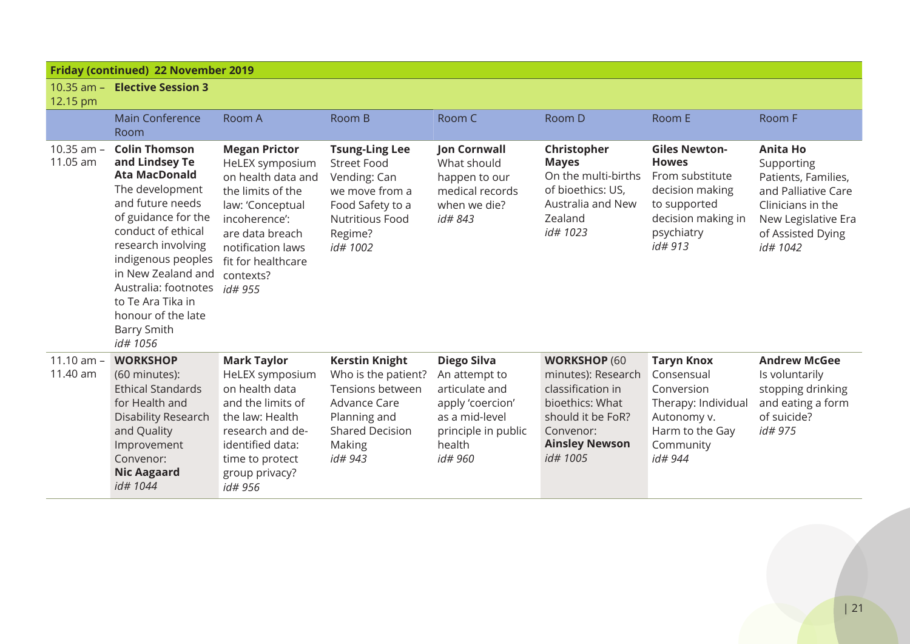| <b>Friday (continued) 22 November 2019</b> |                                                                                                                                                                                                                                                                                                                           |                                                                                                                                                                                                               |                                                                                                                                                   |                                                                                                                                         |                                                                                                                                                          |                                                                                                                                           |                                                                                                                                                          |  |
|--------------------------------------------|---------------------------------------------------------------------------------------------------------------------------------------------------------------------------------------------------------------------------------------------------------------------------------------------------------------------------|---------------------------------------------------------------------------------------------------------------------------------------------------------------------------------------------------------------|---------------------------------------------------------------------------------------------------------------------------------------------------|-----------------------------------------------------------------------------------------------------------------------------------------|----------------------------------------------------------------------------------------------------------------------------------------------------------|-------------------------------------------------------------------------------------------------------------------------------------------|----------------------------------------------------------------------------------------------------------------------------------------------------------|--|
| $10.35$ am $-$<br>12.15 pm                 | <b>Elective Session 3</b>                                                                                                                                                                                                                                                                                                 |                                                                                                                                                                                                               |                                                                                                                                                   |                                                                                                                                         |                                                                                                                                                          |                                                                                                                                           |                                                                                                                                                          |  |
|                                            | <b>Main Conference</b><br>Room                                                                                                                                                                                                                                                                                            | Room A                                                                                                                                                                                                        | Room B                                                                                                                                            | Room C                                                                                                                                  | Room D                                                                                                                                                   | Room E                                                                                                                                    | Room F                                                                                                                                                   |  |
| $10.35$ am $-$<br>11.05 am                 | <b>Colin Thomson</b><br>and Lindsey Te<br><b>Ata MacDonald</b><br>The development<br>and future needs<br>of guidance for the<br>conduct of ethical<br>research involving<br>indigenous peoples<br>in New Zealand and<br>Australia: footnotes<br>to Te Ara Tika in<br>honour of the late<br><b>Barry Smith</b><br>id# 1056 | <b>Megan Prictor</b><br>HeLEX symposium<br>on health data and<br>the limits of the<br>law: 'Conceptual<br>incoherence':<br>are data breach<br>notification laws<br>fit for healthcare<br>contexts?<br>id# 955 | <b>Tsung-Ling Lee</b><br><b>Street Food</b><br>Vending: Can<br>we move from a<br>Food Safety to a<br><b>Nutritious Food</b><br>Regime?<br>id#1002 | <b>Jon Cornwall</b><br>What should<br>happen to our<br>medical records<br>when we die?<br>id# 843                                       | Christopher<br><b>Mayes</b><br>On the multi-births<br>of bioethics: US,<br>Australia and New<br>Zealand<br>id# 1023                                      | <b>Giles Newton-</b><br><b>Howes</b><br>From substitute<br>decision making<br>to supported<br>decision making in<br>psychiatry<br>id# 913 | <b>Anita Ho</b><br>Supporting<br>Patients, Families,<br>and Palliative Care<br>Clinicians in the<br>New Legislative Era<br>of Assisted Dying<br>id# 1042 |  |
| $11.10$ am $-$<br>11.40 am                 | <b>WORKSHOP</b><br>(60 minutes):<br><b>Ethical Standards</b><br>for Health and<br><b>Disability Research</b><br>and Quality<br>Improvement<br>Convenor:<br><b>Nic Aagaard</b><br>id#1044                                                                                                                                  | <b>Mark Taylor</b><br>HeLEX symposium<br>on health data<br>and the limits of<br>the law: Health<br>research and de-<br>identified data:<br>time to protect<br>group privacy?<br>id# 956                       | <b>Kerstin Knight</b><br>Who is the patient?<br>Tensions between<br>Advance Care<br>Planning and<br><b>Shared Decision</b><br>Making<br>id# 943   | <b>Diego Silva</b><br>An attempt to<br>articulate and<br>apply 'coercion'<br>as a mid-level<br>principle in public<br>health<br>id# 960 | <b>WORKSHOP (60</b><br>minutes): Research<br>classification in<br>bioethics: What<br>should it be FoR?<br>Convenor:<br><b>Ainsley Newson</b><br>id# 1005 | <b>Taryn Knox</b><br>Consensual<br>Conversion<br>Therapy: Individual<br>Autonomy v.<br>Harm to the Gay<br>Community<br>id# 944            | <b>Andrew McGee</b><br>Is voluntarily<br>stopping drinking<br>and eating a form<br>of suicide?<br>id# 975                                                |  |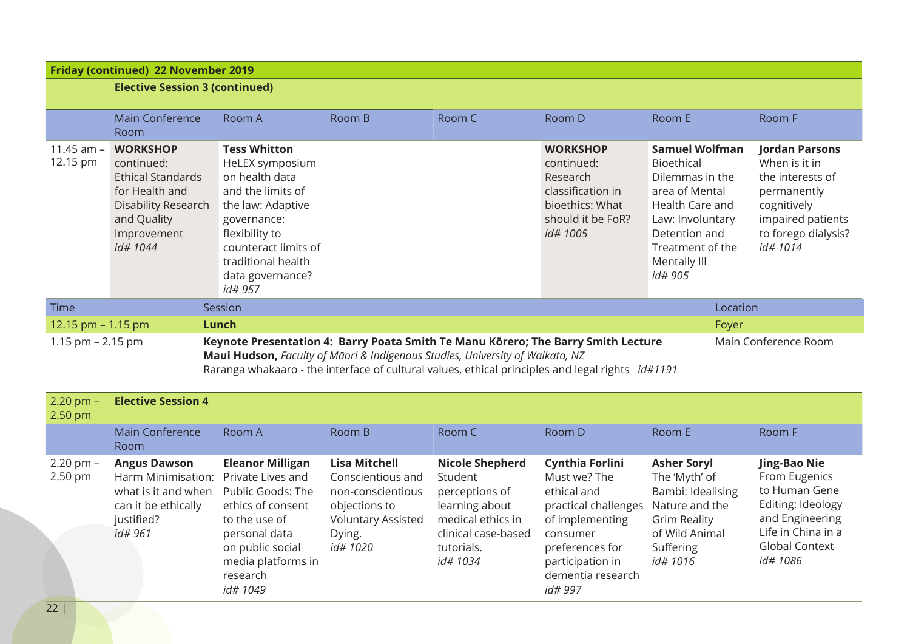| <b>Friday (continued) 22 November 2019</b> |                                                                                                                                                                                                                                                                                                                       |                                                                                                                                                                                   |        |        |                                                                                                                    |                                                                                                                                                                      |                                                                                                                                                 |  |  |  |
|--------------------------------------------|-----------------------------------------------------------------------------------------------------------------------------------------------------------------------------------------------------------------------------------------------------------------------------------------------------------------------|-----------------------------------------------------------------------------------------------------------------------------------------------------------------------------------|--------|--------|--------------------------------------------------------------------------------------------------------------------|----------------------------------------------------------------------------------------------------------------------------------------------------------------------|-------------------------------------------------------------------------------------------------------------------------------------------------|--|--|--|
|                                            | <b>Elective Session 3 (continued)</b>                                                                                                                                                                                                                                                                                 |                                                                                                                                                                                   |        |        |                                                                                                                    |                                                                                                                                                                      |                                                                                                                                                 |  |  |  |
|                                            |                                                                                                                                                                                                                                                                                                                       |                                                                                                                                                                                   |        |        |                                                                                                                    |                                                                                                                                                                      |                                                                                                                                                 |  |  |  |
|                                            | <b>Main Conference</b>                                                                                                                                                                                                                                                                                                | Room A                                                                                                                                                                            | Room B | Room C | Room D                                                                                                             | Room E                                                                                                                                                               | Room F                                                                                                                                          |  |  |  |
|                                            | <b>Room</b>                                                                                                                                                                                                                                                                                                           |                                                                                                                                                                                   |        |        |                                                                                                                    |                                                                                                                                                                      |                                                                                                                                                 |  |  |  |
| 11.45 $am -$<br>12.15 pm                   | <b>WORKSHOP</b><br>continued:<br><b>Ethical Standards</b><br>for Health and<br>Disability Research<br>and Quality<br>Improvement<br>id#1044                                                                                                                                                                           | <b>Tess Whitton</b><br>HeLEX symposium<br>on health data<br>and the limits of<br>the law: Adaptive<br>governance:<br>flexibility to<br>counteract limits of<br>traditional health |        |        | <b>WORKSHOP</b><br>continued:<br>Research<br>classification in<br>bioethics: What<br>should it be FoR?<br>id# 1005 | <b>Samuel Wolfman</b><br>Bioethical<br>Dilemmas in the<br>area of Mental<br>Health Care and<br>Law: Involuntary<br>Detention and<br>Treatment of the<br>Mentally III | <b>Jordan Parsons</b><br>When is it in<br>the interests of<br>permanently<br>cognitively<br>impaired patients<br>to forego dialysis?<br>id#1014 |  |  |  |
|                                            |                                                                                                                                                                                                                                                                                                                       | data governance?<br>id# 957                                                                                                                                                       |        |        |                                                                                                                    | id# 905                                                                                                                                                              |                                                                                                                                                 |  |  |  |
|                                            |                                                                                                                                                                                                                                                                                                                       |                                                                                                                                                                                   |        |        |                                                                                                                    |                                                                                                                                                                      |                                                                                                                                                 |  |  |  |
| <b>Time</b>                                |                                                                                                                                                                                                                                                                                                                       | Session                                                                                                                                                                           |        |        |                                                                                                                    | Location                                                                                                                                                             |                                                                                                                                                 |  |  |  |
| 12.15 pm - 1.15 pm                         |                                                                                                                                                                                                                                                                                                                       | Lunch                                                                                                                                                                             |        |        |                                                                                                                    | Foyer                                                                                                                                                                |                                                                                                                                                 |  |  |  |
|                                            | Keynote Presentation 4: Barry Poata Smith Te Manu Kōrero; The Barry Smith Lecture<br>Main Conference Room<br>1.15 pm $- 2.15$ pm<br>Maui Hudson, Faculty of Māori & Indigenous Studies, University of Waikato, NZ<br>Raranga whakaaro - the interface of cultural values, ethical principles and legal rights id#1191 |                                                                                                                                                                                   |        |        |                                                                                                                    |                                                                                                                                                                      |                                                                                                                                                 |  |  |  |
|                                            |                                                                                                                                                                                                                                                                                                                       |                                                                                                                                                                                   |        |        |                                                                                                                    |                                                                                                                                                                      |                                                                                                                                                 |  |  |  |
| $2.20$ pm $-$<br>2.50 pm                   | <b>Elective Session 4</b>                                                                                                                                                                                                                                                                                             |                                                                                                                                                                                   |        |        |                                                                                                                    |                                                                                                                                                                      |                                                                                                                                                 |  |  |  |
|                                            | <b>Main Conference</b><br>Room                                                                                                                                                                                                                                                                                        | Room A                                                                                                                                                                            | Room B | Room C | Room D                                                                                                             | Room E                                                                                                                                                               | Room F                                                                                                                                          |  |  |  |
|                                            |                                                                                                                                                                                                                                                                                                                       |                                                                                                                                                                                   |        |        |                                                                                                                    |                                                                                                                                                                      |                                                                                                                                                 |  |  |  |

| $2.20$ pm $-$ | <b>Angus Dawson</b>                  | <b>Eleanor Milligan</b> | <b>Lisa Mitchell</b>      | <b>Nicole Shepherd</b> | <b>Cynthia Forlini</b>              | <b>Asher Soryl</b>  | Jing-Bao Nie          |
|---------------|--------------------------------------|-------------------------|---------------------------|------------------------|-------------------------------------|---------------------|-----------------------|
| $2.50$ pm     | Harm Minimisation: Private Lives and |                         | Conscientious and         | Student                | Must we? The                        | The 'Myth' of       | From Eugenics         |
|               | what is it and when                  | Public Goods: The       | non-conscientious         | perceptions of         | ethical and                         | Bambi: Idealising   | to Human Gene         |
|               | can it be ethically                  | ethics of consent       | objections to             | learning about         | practical challenges Nature and the |                     | Editing: Ideology     |
|               | justified?                           | to the use of           | <b>Voluntary Assisted</b> | medical ethics in      | of implementing                     | <b>Grim Reality</b> | and Engineering       |
|               | id# 961                              | personal data           | Dying.                    | clinical case-based    | consumer                            | of Wild Animal      | Life in China in a    |
|               |                                      | on public social        | <i>id# 1020</i>           | tutorials.             | preferences for                     | Suffering           | <b>Global Context</b> |
|               |                                      | media platforms in      |                           | <i>id# 1034</i>        | participation in                    | id# 1016            | <i>id# 1086</i>       |
|               |                                      | research                |                           |                        | dementia research                   |                     |                       |
|               |                                      | <i>id# 1049</i>         |                           |                        | <i>id#</i> 997                      |                     |                       |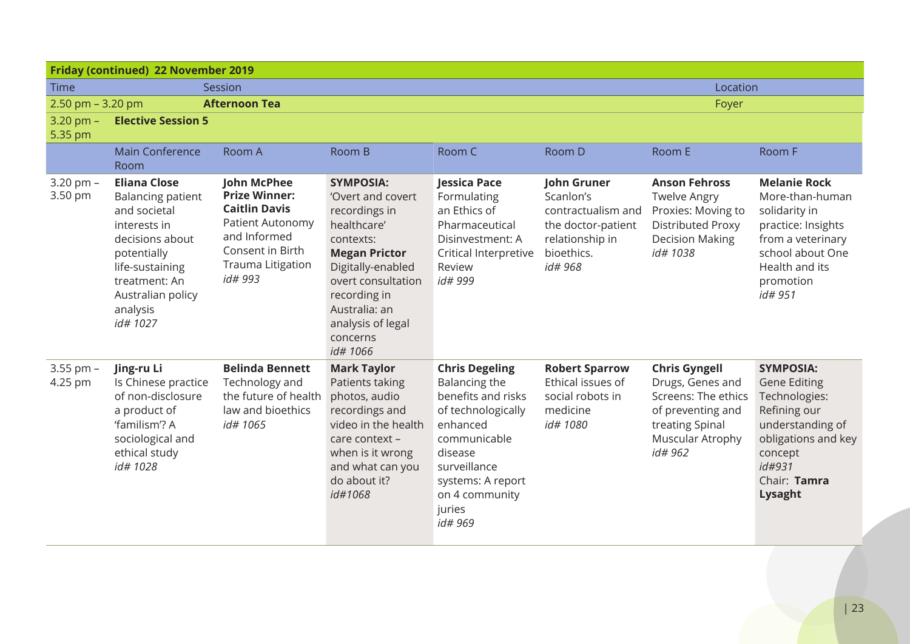| Friday (continued) 22 November 2019 |                                                                                                                                                                                                    |                                                                                                                                                            |                                                                                                                                                                                                                                     |                                                                                                                                                                                                       |                                                                                                                         |                                                                                                                                        |                                                                                                                                                                     |  |  |  |
|-------------------------------------|----------------------------------------------------------------------------------------------------------------------------------------------------------------------------------------------------|------------------------------------------------------------------------------------------------------------------------------------------------------------|-------------------------------------------------------------------------------------------------------------------------------------------------------------------------------------------------------------------------------------|-------------------------------------------------------------------------------------------------------------------------------------------------------------------------------------------------------|-------------------------------------------------------------------------------------------------------------------------|----------------------------------------------------------------------------------------------------------------------------------------|---------------------------------------------------------------------------------------------------------------------------------------------------------------------|--|--|--|
| Time                                | Location<br>Session                                                                                                                                                                                |                                                                                                                                                            |                                                                                                                                                                                                                                     |                                                                                                                                                                                                       |                                                                                                                         |                                                                                                                                        |                                                                                                                                                                     |  |  |  |
| 2.50 pm $-$ 3.20 pm                 |                                                                                                                                                                                                    | <b>Afternoon Tea</b>                                                                                                                                       |                                                                                                                                                                                                                                     |                                                                                                                                                                                                       |                                                                                                                         | Foyer                                                                                                                                  |                                                                                                                                                                     |  |  |  |
| $3.20$ pm $-$<br>5.35 pm            | <b>Elective Session 5</b>                                                                                                                                                                          |                                                                                                                                                            |                                                                                                                                                                                                                                     |                                                                                                                                                                                                       |                                                                                                                         |                                                                                                                                        |                                                                                                                                                                     |  |  |  |
|                                     | <b>Main Conference</b><br>Room                                                                                                                                                                     | Room A                                                                                                                                                     | Room B                                                                                                                                                                                                                              | Room C                                                                                                                                                                                                | Room D                                                                                                                  | Room E                                                                                                                                 | Room F                                                                                                                                                              |  |  |  |
| $3.20$ pm $-$<br>3.50 pm            | <b>Eliana Close</b><br><b>Balancing patient</b><br>and societal<br>interests in<br>decisions about<br>potentially<br>life-sustaining<br>treatment: An<br>Australian policy<br>analysis<br>id# 1027 | <b>John McPhee</b><br><b>Prize Winner:</b><br><b>Caitlin Davis</b><br>Patient Autonomy<br>and Informed<br>Consent in Birth<br>Trauma Litigation<br>id# 993 | <b>SYMPOSIA:</b><br>'Overt and covert<br>recordings in<br>healthcare'<br>contexts:<br><b>Megan Prictor</b><br>Digitally-enabled<br>overt consultation<br>recording in<br>Australia: an<br>analysis of legal<br>concerns<br>id# 1066 | Jessica Pace<br>Formulating<br>an Ethics of<br>Pharmaceutical<br>Disinvestment: A<br>Critical Interpretive<br>Review<br>id# 999                                                                       | <b>John Gruner</b><br>Scanlon's<br>contractualism and<br>the doctor-patient<br>relationship in<br>bioethics.<br>id# 968 | <b>Anson Fehross</b><br><b>Twelve Angry</b><br>Proxies: Moving to<br><b>Distributed Proxy</b><br><b>Decision Making</b><br>id# 1038    | <b>Melanie Rock</b><br>More-than-human<br>solidarity in<br>practice: Insights<br>from a veterinary<br>school about One<br>Health and its<br>promotion<br>id# 951    |  |  |  |
| 3.55 pm -<br>4.25 pm                | Jing-ru Li<br>Is Chinese practice<br>of non-disclosure<br>a product of<br>'familism'? A<br>sociological and<br>ethical study<br>id# 1028                                                           | <b>Belinda Bennett</b><br>Technology and<br>the future of health<br>law and bioethics<br>id# 1065                                                          | <b>Mark Taylor</b><br>Patients taking<br>photos, audio<br>recordings and<br>video in the health<br>care context -<br>when is it wrong<br>and what can you<br>do about it?<br>id#1068                                                | <b>Chris Degeling</b><br>Balancing the<br>benefits and risks<br>of technologically<br>enhanced<br>communicable<br>disease<br>surveillance<br>systems: A report<br>on 4 community<br>juries<br>id# 969 | <b>Robert Sparrow</b><br>Ethical issues of<br>social robots in<br>medicine<br>id# 1080                                  | <b>Chris Gyngell</b><br>Drugs, Genes and<br>Screens: The ethics<br>of preventing and<br>treating Spinal<br>Muscular Atrophy<br>id# 962 | <b>SYMPOSIA:</b><br><b>Gene Editing</b><br>Technologies:<br>Refining our<br>understanding of<br>obligations and key<br>concept<br>id#931<br>Chair: Tamra<br>Lysaght |  |  |  |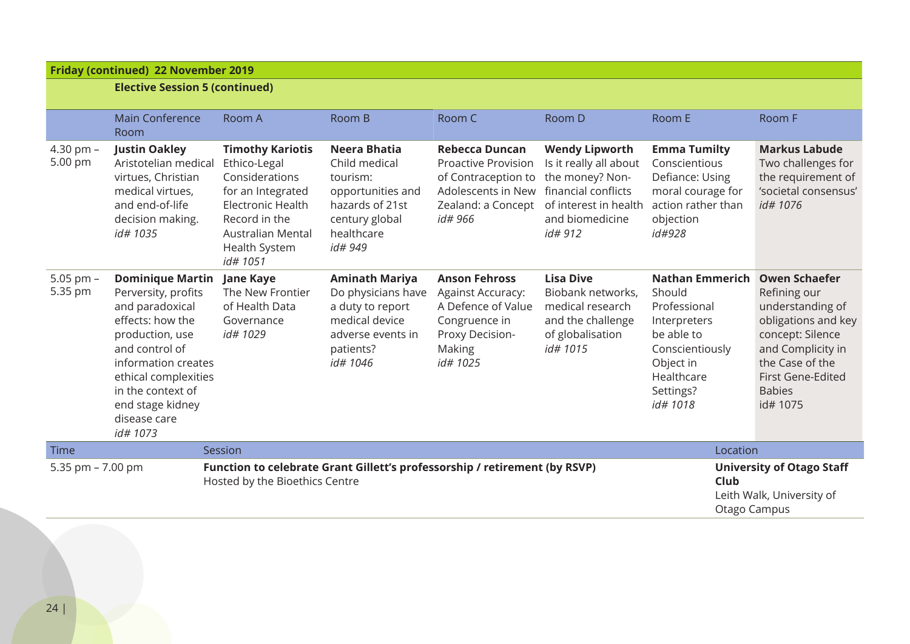### **Friday (continued) 22 November 2019**

|  | <b>Elective Session 5 (continued)</b> |  |
|--|---------------------------------------|--|
|  |                                       |  |

|                        | <b>Main Conference</b><br>Room                                                                                                                                                                                                                 | Room A                                                                                                                                                                        | Room B                                                                                                                          | Room C                                                                                                                            | Room D                                                                                                                                           | Room E                                                                                                                                                | Room F                                                                                                                                                                                        |
|------------------------|------------------------------------------------------------------------------------------------------------------------------------------------------------------------------------------------------------------------------------------------|-------------------------------------------------------------------------------------------------------------------------------------------------------------------------------|---------------------------------------------------------------------------------------------------------------------------------|-----------------------------------------------------------------------------------------------------------------------------------|--------------------------------------------------------------------------------------------------------------------------------------------------|-------------------------------------------------------------------------------------------------------------------------------------------------------|-----------------------------------------------------------------------------------------------------------------------------------------------------------------------------------------------|
| 4.30 pm $-$<br>5.00 pm | <b>Justin Oakley</b><br>Aristotelian medical<br>virtues, Christian<br>medical virtues,<br>and end-of-life<br>decision making.<br>id# 1035                                                                                                      | <b>Timothy Kariotis</b><br>Ethico-Legal<br>Considerations<br>for an Integrated<br><b>Electronic Health</b><br>Record in the<br>Australian Mental<br>Health System<br>id# 1051 | Neera Bhatia<br>Child medical<br>tourism:<br>opportunities and<br>hazards of 21st<br>century global<br>healthcare<br>id# 949    | <b>Rebecca Duncan</b><br><b>Proactive Provision</b><br>of Contraception to<br>Adolescents in New<br>Zealand: a Concept<br>id# 966 | <b>Wendy Lipworth</b><br>Is it really all about<br>the money? Non-<br>financial conflicts<br>of interest in health<br>and biomedicine<br>id# 912 | <b>Emma Tumilty</b><br>Conscientious<br>Defiance: Using<br>moral courage for<br>action rather than<br>objection<br>id#928                             | <b>Markus Labude</b><br>Two challenges for<br>the requirement of<br>'societal consensus'<br>id# 1076                                                                                          |
| 5.05 pm $-$<br>5.35 pm | <b>Dominique Martin</b><br>Perversity, profits<br>and paradoxical<br>effects: how the<br>production, use<br>and control of<br>information creates<br>ethical complexities<br>in the context of<br>end stage kidney<br>disease care<br>id# 1073 | <b>Jane Kaye</b><br>The New Frontier<br>of Health Data<br>Governance<br>id# 1029                                                                                              | <b>Aminath Mariya</b><br>Do physicians have<br>a duty to report<br>medical device<br>adverse events in<br>patients?<br>id# 1046 | <b>Anson Fehross</b><br>Against Accuracy:<br>A Defence of Value<br>Congruence in<br>Proxy Decision-<br>Making<br>id# 1025         | <b>Lisa Dive</b><br>Biobank networks,<br>medical research<br>and the challenge<br>of globalisation<br>id# 1015                                   | <b>Nathan Emmerich</b><br>Should<br>Professional<br>Interpreters<br>be able to<br>Conscientiously<br>Object in<br>Healthcare<br>Settings?<br>id# 1018 | <b>Owen Schaefer</b><br>Refining our<br>understanding of<br>obligations and key<br>concept: Silence<br>and Complicity in<br>the Case of the<br>First Gene-Edited<br><b>Babies</b><br>id# 1075 |
| <b>Time</b>            |                                                                                                                                                                                                                                                | Session                                                                                                                                                                       |                                                                                                                                 |                                                                                                                                   |                                                                                                                                                  | Location                                                                                                                                              |                                                                                                                                                                                               |
| 5.35 pm $- 7.00$ pm    |                                                                                                                                                                                                                                                | Hosted by the Bioethics Centre                                                                                                                                                | Function to celebrate Grant Gillett's professorship / retirement (by RSVP)                                                      | <b>University of Otago Staff</b><br>Club<br>Leith Walk, University of<br>Otago Campus                                             |                                                                                                                                                  |                                                                                                                                                       |                                                                                                                                                                                               |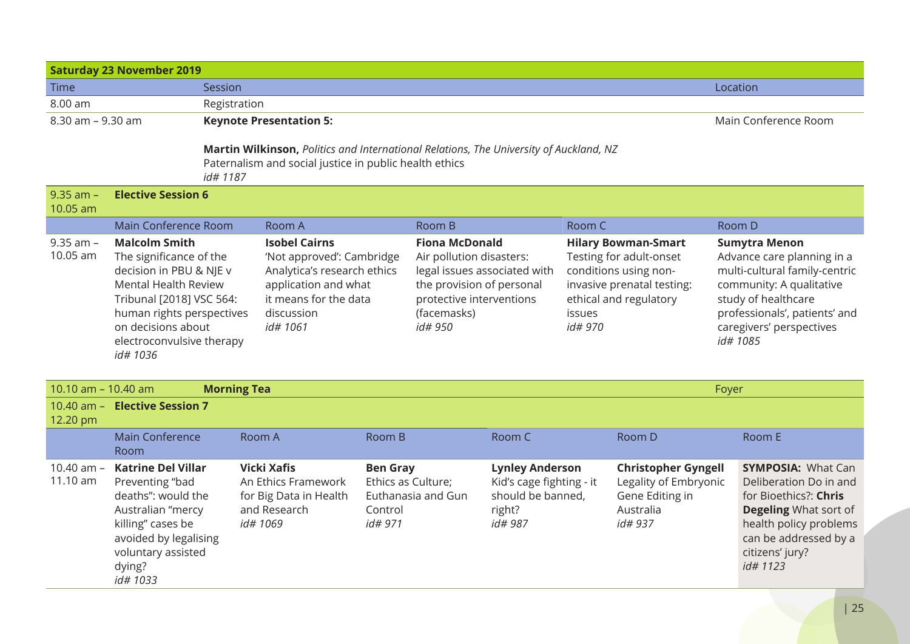| <b>Saturday 23 November 2019</b> |                                                                                                                                                                                                                                  |                                                                                                                                                              |                                                                                                                                                            |                                                             |                                                                                                                                                                      |                                                                                              |                                                                                                                                                             |                                                                                                |  |                                                                                                                                                                                                                 |  |
|----------------------------------|----------------------------------------------------------------------------------------------------------------------------------------------------------------------------------------------------------------------------------|--------------------------------------------------------------------------------------------------------------------------------------------------------------|------------------------------------------------------------------------------------------------------------------------------------------------------------|-------------------------------------------------------------|----------------------------------------------------------------------------------------------------------------------------------------------------------------------|----------------------------------------------------------------------------------------------|-------------------------------------------------------------------------------------------------------------------------------------------------------------|------------------------------------------------------------------------------------------------|--|-----------------------------------------------------------------------------------------------------------------------------------------------------------------------------------------------------------------|--|
| Time                             |                                                                                                                                                                                                                                  | Session                                                                                                                                                      |                                                                                                                                                            |                                                             |                                                                                                                                                                      |                                                                                              | Location                                                                                                                                                    |                                                                                                |  |                                                                                                                                                                                                                 |  |
| 8.00 am                          |                                                                                                                                                                                                                                  | Registration                                                                                                                                                 |                                                                                                                                                            |                                                             |                                                                                                                                                                      |                                                                                              |                                                                                                                                                             |                                                                                                |  |                                                                                                                                                                                                                 |  |
| 8.30 am - 9.30 am                |                                                                                                                                                                                                                                  | <b>Keynote Presentation 5:</b>                                                                                                                               |                                                                                                                                                            |                                                             |                                                                                                                                                                      |                                                                                              | Main Conference Room                                                                                                                                        |                                                                                                |  |                                                                                                                                                                                                                 |  |
|                                  |                                                                                                                                                                                                                                  | Martin Wilkinson, Politics and International Relations, The University of Auckland, NZ<br>Paternalism and social justice in public health ethics<br>id# 1187 |                                                                                                                                                            |                                                             |                                                                                                                                                                      |                                                                                              |                                                                                                                                                             |                                                                                                |  |                                                                                                                                                                                                                 |  |
| $9.35$ am $-$<br>10.05 am        | <b>Elective Session 6</b>                                                                                                                                                                                                        |                                                                                                                                                              |                                                                                                                                                            |                                                             |                                                                                                                                                                      |                                                                                              |                                                                                                                                                             |                                                                                                |  |                                                                                                                                                                                                                 |  |
|                                  | Main Conference Room                                                                                                                                                                                                             | Room B<br>Room C<br>Room A                                                                                                                                   |                                                                                                                                                            |                                                             |                                                                                                                                                                      | Room D                                                                                       |                                                                                                                                                             |                                                                                                |  |                                                                                                                                                                                                                 |  |
| $9.35$ am $-$<br>10.05 am        | <b>Malcolm Smith</b><br>The significance of the<br>decision in PBU & NJE v<br><b>Mental Health Review</b><br>Tribunal [2018] VSC 564:<br>human rights perspectives<br>on decisions about<br>electroconvulsive therapy<br>id#1036 |                                                                                                                                                              | <b>Isobel Cairns</b><br>'Not approved': Cambridge<br>Analytica's research ethics<br>application and what<br>it means for the data<br>discussion<br>id#1061 |                                                             | <b>Fiona McDonald</b><br>Air pollution disasters:<br>legal issues associated with<br>the provision of personal<br>protective interventions<br>(facemasks)<br>id# 950 |                                                                                              | <b>Hilary Bowman-Smart</b><br>Testing for adult-onset<br>conditions using non-<br>invasive prenatal testing:<br>ethical and regulatory<br>issues<br>id# 970 |                                                                                                |  | <b>Sumytra Menon</b><br>Advance care planning in a<br>multi-cultural family-centric<br>community: A qualitative<br>study of healthcare<br>professionals', patients' and<br>caregivers' perspectives<br>id# 1085 |  |
|                                  | 10.10 am - 10.40 am<br><b>Morning Tea</b><br>Foyer                                                                                                                                                                               |                                                                                                                                                              |                                                                                                                                                            |                                                             |                                                                                                                                                                      |                                                                                              |                                                                                                                                                             |                                                                                                |  |                                                                                                                                                                                                                 |  |
| 12.20 pm                         | 10.40 am - Elective Session 7                                                                                                                                                                                                    |                                                                                                                                                              |                                                                                                                                                            |                                                             |                                                                                                                                                                      |                                                                                              |                                                                                                                                                             |                                                                                                |  |                                                                                                                                                                                                                 |  |
|                                  | <b>Main Conference</b><br>Room                                                                                                                                                                                                   |                                                                                                                                                              | Room A                                                                                                                                                     | Room B                                                      |                                                                                                                                                                      | Room C                                                                                       |                                                                                                                                                             | Room D                                                                                         |  | Room E                                                                                                                                                                                                          |  |
| 10.40 am $-$<br>11.10 am         | <b>Katrine Del Villar</b><br>Preventing "bad<br>deaths": would the<br>Australian "mercy<br>killing" cases be<br>avoided by legalising<br>voluntary assisted<br>dying?<br>id# 1033                                                |                                                                                                                                                              | <b>Vicki Xafis</b><br>An Ethics Framework<br>for Big Data in Health<br>and Research<br>id# 1069                                                            | <b>Ben Gray</b><br>Ethics as Culture;<br>Control<br>id# 971 | Euthanasia and Gun                                                                                                                                                   | <b>Lynley Anderson</b><br>Kid's cage fighting - it<br>should be banned,<br>right?<br>id# 987 |                                                                                                                                                             | <b>Christopher Gyngell</b><br>Legality of Embryonic<br>Gene Editing in<br>Australia<br>id# 937 |  | <b>SYMPOSIA: What Can</b><br>Deliberation Do in and<br>for Bioethics?: Chris<br><b>Degeling What sort of</b><br>health policy problems<br>can be addressed by a<br>citizens' jury?<br>id# 1123                  |  |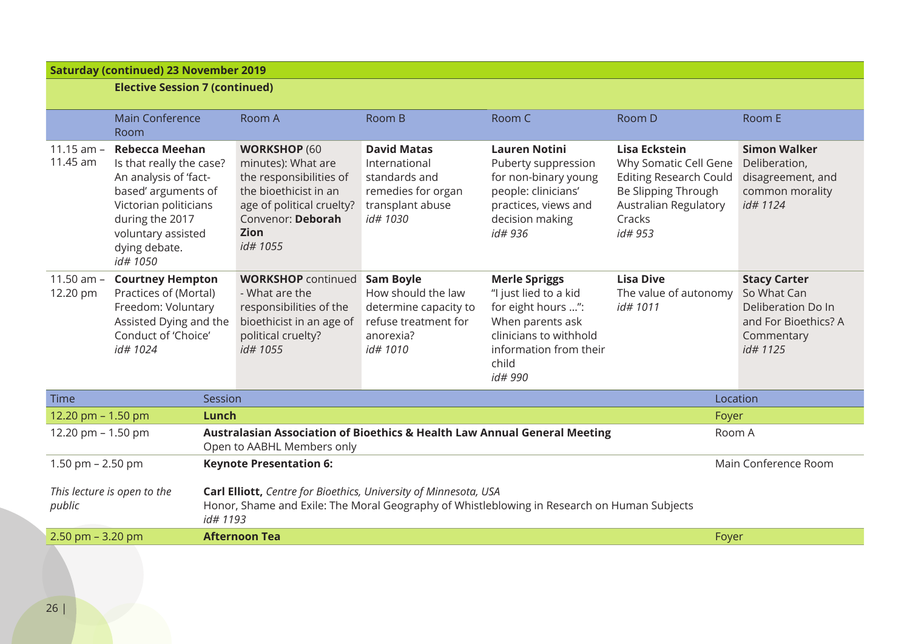#### **Saturday (continued) 23 November 2019 Elective Session 7 (continued)** Main Conference Room Room A Room B Room C Room D Room E 11.15 am – **Rebecca Meehan** 11.45 am Is that really the case? An analysis of 'factbased' arguments of Victorian politicians during the 2017 voluntary assisted dying debate. *id# 1050* **WORKSHOP** (60 minutes): What are the responsibilities of the bioethicist in an age of political cruelty? Convenor: **Deborah Zion** *id# 1055* **David Matas** International standards and remedies for organ transplant abuse *id# 1030* **Lauren Notini** Puberty suppression for non-binary young people: clinicians' practices, views and decision making *id# 936* **Lisa Eckstein** Why Somatic Cell Gene Editing Research Could Be Slipping Through Australian Regulatory **Cracks** *id# 953* **Simon Walker** Deliberation, disagreement, and common morality *id# 1124* 11.50 am – **Courtney Hempton** 12.20 pm Practices of (Mortal) Freedom: Voluntary Assisted Dying and the Conduct of 'Choice' *id# 1024* **WORKSHOP** continued **Sam Boyle** - What are the responsibilities of the bioethicist in an age of political cruelty? *id# 1055* How should the law determine capacity to refuse treatment for anorexia? *id# 1010* **Merle Spriggs** "I just lied to a kid for eight hours …": When parents ask clinicians to withhold information from their child *id# 990* **Lisa Dive** The value of autonomy *id# 1011* **Stacy Carter** So What Can Deliberation Do In and For Bioethics? A **Commentary** *id# 1125* Time Session Resource of the Session Control of the Session Control of the Session Control of the Session Cont 12.20 pm – 1.50 pm **Lunch** Foyer 12.20 pm – 1.50 pm **Australasian Association of Bioethics & Health Law Annual General Meeting** Open to AABHL Members only Room A 1.50 pm – 2.50 pm *This lecture is open to the public* **Keynote Presentation 6: Carl Elliott,** *Centre for Bioethics, University of Minnesota, USA* Honor, Shame and Exile: The Moral Geography of Whistleblowing in Research on Human Subjects *id# 1193* Main Conference Room 2.50 pm – 3.20 pm **Afternoon Tea** Foyer